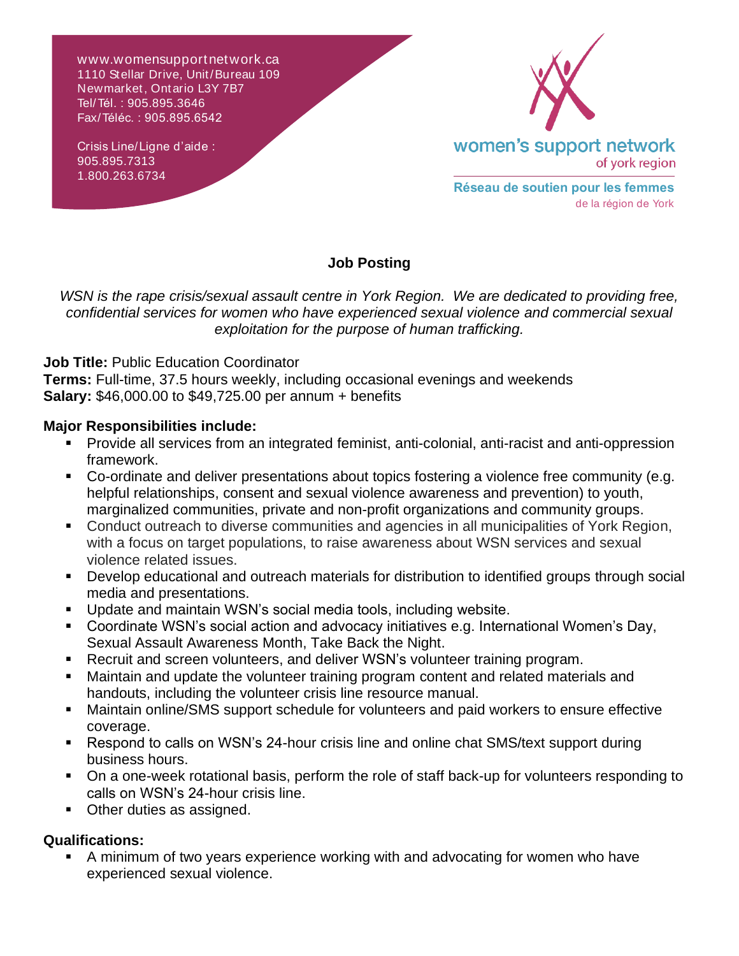w ww.womensupportnetwork.ca 1110 Stellar Drive, Unit/Bureau 109 Newmarket, Ontario L3Y 7B7 Tel/Tél. : 905.895.3646 Fax/Téléc. : 905.895.6542

Crisis Line/Ligne d'aide : 905.895.7313 1.800.263.6734



**Réseau de soutien pour les femmes** de la région de York

## **Job Posting**

*WSN is the rape crisis/sexual assault centre in York Region. We are dedicated to providing free, confidential services for women who have experienced sexual violence and commercial sexual exploitation for the purpose of human trafficking.*

**Job Title:** Public Education Coordinator

**Terms:** Full-time, 37.5 hours weekly, including occasional evenings and weekends **Salary:** \$46,000.00 to \$49,725.00 per annum + benefits

## **Major Responsibilities include:**

- Provide all services from an integrated feminist, anti-colonial, anti-racist and anti-oppression framework.
- Co-ordinate and deliver presentations about topics fostering a violence free community (e.g. helpful relationships, consent and sexual violence awareness and prevention) to youth, marginalized communities, private and non-profit organizations and community groups.
- Conduct outreach to diverse communities and agencies in all municipalities of York Region, with a focus on target populations, to raise awareness about WSN services and sexual violence related issues.
- Develop educational and outreach materials for distribution to identified groups through social media and presentations.
- Update and maintain WSN's social media tools, including website.
- Coordinate WSN's social action and advocacy initiatives e.g. International Women's Day, Sexual Assault Awareness Month, Take Back the Night.
- Recruit and screen volunteers, and deliver WSN's volunteer training program.
- Maintain and update the volunteer training program content and related materials and handouts, including the volunteer crisis line resource manual.
- Maintain online/SMS support schedule for volunteers and paid workers to ensure effective coverage.
- Respond to calls on WSN's 24-hour crisis line and online chat SMS/text support during business hours.
- On a one-week rotational basis, perform the role of staff back-up for volunteers responding to calls on WSN's 24-hour crisis line.
- **Other duties as assigned.**

## **Qualifications:**

■ A minimum of two years experience working with and advocating for women who have experienced sexual violence.